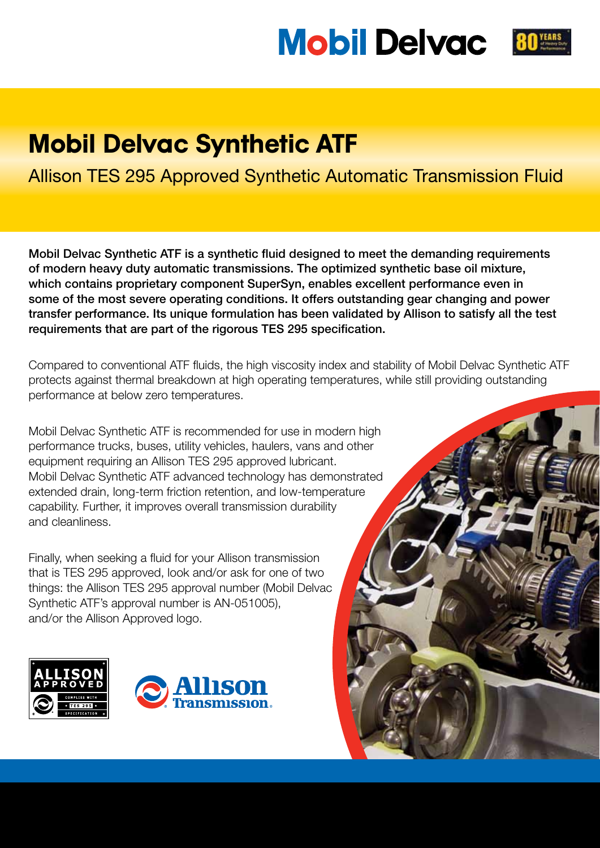## **Mobil Delvac 80**



### Mobil Delvac Synthetic ATF

### Allison TES 295 Approved Synthetic Automatic Transmission Fluid

Mobil Delvac Synthetic ATF is a synthetic fluid designed to meet the demanding requirements of modern heavy duty automatic transmissions. The optimized synthetic base oil mixture, which contains proprietary component SuperSyn, enables excellent performance even in some of the most severe operating conditions. It offers outstanding gear changing and power transfer performance. Its unique formulation has been validated by Allison to satisfy all the test requirements that are part of the rigorous TES 295 specification.

Compared to conventional ATF fluids, the high viscosity index and stability of Mobil Delvac Synthetic ATF protects against thermal breakdown at high operating temperatures, while still providing outstanding performance at below zero temperatures.

Mobil Delvac Synthetic ATF is recommended for use in modern high performance trucks, buses, utility vehicles, haulers, vans and other equipment requiring an Allison TES 295 approved lubricant. Mobil Delvac Synthetic ATF advanced technology has demonstrated extended drain, long-term friction retention, and low-temperature capability. Further, it improves overall transmission durability and cleanliness.

Finally, when seeking a fluid for your Allison transmission that is TES 295 approved, look and/or ask for one of two things: the Allison TES 295 approval number (Mobil Delvac Synthetic ATF's approval number is AN-051005), and/or the Allison Approved logo.